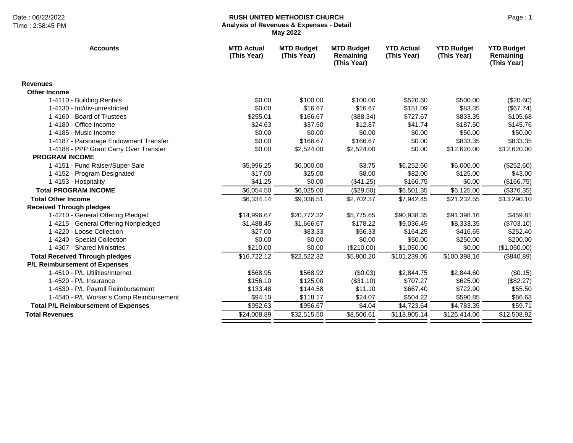## Date : 06/22/2022 Page : 1 **RUSH UNITED METHODIST CHURCH Analysis of Revenues & Expenses - Detail May 2022**

| <b>Accounts</b>                            | <b>MTD Actual</b><br>(This Year) | <b>MTD Budget</b><br>(This Year) | <b>MTD Budget</b><br>Remaining<br>(This Year) | <b>YTD Actual</b><br>(This Year) | <b>YTD Budget</b><br>(This Year) | <b>YTD Budget</b><br>Remaining<br>(This Year) |
|--------------------------------------------|----------------------------------|----------------------------------|-----------------------------------------------|----------------------------------|----------------------------------|-----------------------------------------------|
| <b>Revenues</b>                            |                                  |                                  |                                               |                                  |                                  |                                               |
| <b>Other Income</b>                        |                                  |                                  |                                               |                                  |                                  |                                               |
| 1-4110 - Building Rentals                  | \$0.00                           | \$100.00                         | \$100.00                                      | \$520.60                         | \$500.00                         | (\$20.60)                                     |
| 1-4130 - Int/div-unrestricted              | \$0.00                           | \$16.67                          | \$16.67                                       | \$151.09                         | \$83.35                          | (\$67.74)                                     |
| 1-4160 - Board of Trustees                 | \$255.01                         | \$166.67                         | (\$88.34)                                     | \$727.67                         | \$833.35                         | \$105.68                                      |
| 1-4180 - Office Income                     | \$24.63                          | \$37.50                          | \$12.87                                       | \$41.74                          | \$187.50                         | \$145.76                                      |
| 1-4185 - Music Income                      | \$0.00                           | \$0.00                           | \$0.00                                        | \$0.00                           | \$50.00                          | \$50.00                                       |
| 1-4187 - Parsonage Endowment Transfer      | \$0.00                           | \$166.67                         | \$166.67                                      | \$0.00                           | \$833.35                         | \$833.35                                      |
| 1-4188 - PPP Grant Carry Over Transfer     | \$0.00                           | \$2,524.00                       | \$2,524.00                                    | \$0.00                           | \$12,620.00                      | \$12,620.00                                   |
| <b>PROGRAM INCOME</b>                      |                                  |                                  |                                               |                                  |                                  |                                               |
| 1-4151 - Fund Raiser/Super Sale            | \$5,996.25                       | \$6,000.00                       | \$3.75                                        | \$6,252.60                       | \$6,000.00                       | (\$252.60)                                    |
| 1-4152 - Program Designated                | \$17.00                          | \$25.00                          | \$8.00                                        | \$82.00                          | \$125.00                         | \$43.00                                       |
| 1-4153 - Hospitality                       | \$41.25                          | \$0.00                           | (\$41.25)                                     | \$166.75                         | \$0.00                           | (\$166.75)                                    |
| <b>Total PROGRAM INCOME</b>                | \$6,054.50                       | \$6,025.00                       | (\$29.50)                                     | \$6,501.35                       | \$6,125.00                       | (\$376.35)                                    |
| <b>Total Other Income</b>                  | \$6,334.14                       | \$9,036.51                       | \$2,702.37                                    | \$7,942.45                       | \$21,232.55                      | \$13,290.10                                   |
| <b>Received Through pledges</b>            |                                  |                                  |                                               |                                  |                                  |                                               |
| 1-4210 - General Offering Pledged          | \$14,996.67                      | \$20,772.32                      | \$5,775.65                                    | \$90,938.35                      | \$91,398.16                      | \$459.81                                      |
| 1-4215 - General Offering Nonpledged       | \$1,488.45                       | \$1,666.67                       | \$178.22                                      | \$9,036.45                       | \$8,333.35                       | (\$703.10)                                    |
| 1-4220 - Loose Collection                  | \$27.00                          | \$83.33                          | \$56.33                                       | \$164.25                         | \$416.65                         | \$252.40                                      |
| 1-4240 - Special Collection                | \$0.00                           | \$0.00                           | \$0.00                                        | \$50.00                          | \$250.00                         | \$200.00                                      |
| 1-4307 - Shared Ministries                 | \$210.00                         | \$0.00                           | (\$210.00)                                    | \$1,050.00                       | \$0.00                           | (\$1,050.00)                                  |
| <b>Total Received Through pledges</b>      | \$16,722.12                      | \$22,522.32                      | \$5,800.20                                    | \$101,239.05                     | \$100,398.16                     | (\$840.89)                                    |
| P/L Reimbursement of Expenses              |                                  |                                  |                                               |                                  |                                  |                                               |
| 1-4510 - P/L Utilities/Internet            | \$568.95                         | \$568.92                         | (\$0.03)                                      | \$2,844.75                       | \$2,844.60                       | (\$0.15)                                      |
| 1-4520 - P/L Insurance                     | \$156.10                         | \$125.00                         | (\$31.10)                                     | \$707.27                         | \$625.00                         | (\$82.27)                                     |
| 1-4530 - P/L Payroll Reimbursement         | \$133.48                         | \$144.58                         | \$11.10                                       | \$667.40                         | \$722.90                         | \$55.50                                       |
| 1-4540 - P/L Worker's Comp Reimbursement   | \$94.10                          | \$118.17                         | \$24.07                                       | \$504.22                         | \$590.85                         | \$86.63                                       |
| <b>Total P/L Reimbursement of Expenses</b> | \$952.63                         | \$956.67                         | \$4.04                                        | \$4,723.64                       | \$4,783.35                       | \$59.71                                       |
| <b>Total Revenues</b>                      | \$24,008.89                      | \$32,515.50                      | \$8,506.61                                    | \$113,905.14                     | \$126,414.06                     | \$12,508.92                                   |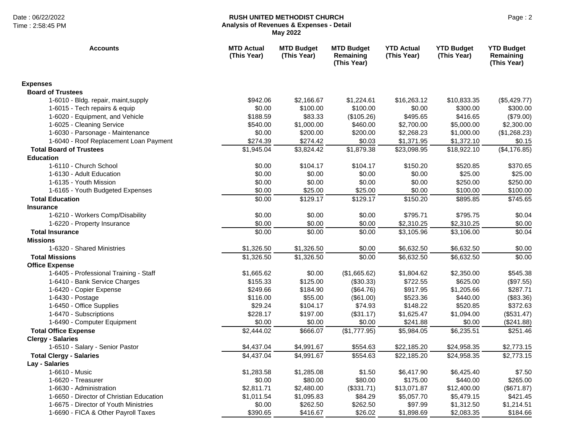### Date : 06/22/2022 Page : 2 **RUSH UNITED METHODIST CHURCH Analysis of Revenues & Expenses - Detail May 2022**

| <b>Accounts</b>                          | <b>MTD Actual</b><br>(This Year) | <b>MTD Budget</b><br>(This Year) | <b>MTD Budget</b><br>Remaining<br>(This Year) | <b>YTD Actual</b><br>(This Year) | <b>YTD Budget</b><br>(This Year) | <b>YTD Budget</b><br>Remaining<br>(This Year) |
|------------------------------------------|----------------------------------|----------------------------------|-----------------------------------------------|----------------------------------|----------------------------------|-----------------------------------------------|
| <b>Expenses</b>                          |                                  |                                  |                                               |                                  |                                  |                                               |
| <b>Board of Trustees</b>                 |                                  |                                  |                                               |                                  |                                  |                                               |
| 1-6010 - Bldg. repair, maint, supply     | \$942.06                         | \$2,166.67                       | \$1,224.61                                    | \$16,263.12                      | \$10,833.35                      | (\$5,429.77)                                  |
| 1-6015 - Tech repairs & equip            | \$0.00                           | \$100.00                         | \$100.00                                      | \$0.00                           | \$300.00                         | \$300.00                                      |
| 1-6020 - Equipment, and Vehicle          | \$188.59                         | \$83.33                          | (\$105.26)                                    | \$495.65                         | \$416.65                         | (\$79.00)                                     |
| 1-6025 - Cleaning Service                | \$540.00                         | \$1,000.00                       | \$460.00                                      | \$2,700.00                       | \$5,000.00                       | \$2,300.00                                    |
| 1-6030 - Parsonage - Maintenance         | \$0.00                           | \$200.00                         | \$200.00                                      | \$2,268.23                       | \$1,000.00                       | (\$1,268.23)                                  |
| 1-6040 - Roof Replacement Loan Payment   | \$274.39                         | \$274.42                         | \$0.03                                        | \$1,371.95                       | \$1,372.10                       | \$0.15                                        |
| <b>Total Board of Trustees</b>           | \$1,945.04                       | \$3,824.42                       | \$1,879.38                                    | \$23,098.95                      | \$18,922.10                      | (\$4,176.85)                                  |
| <b>Education</b>                         |                                  |                                  |                                               |                                  |                                  |                                               |
| 1-6110 - Church School                   | \$0.00                           | \$104.17                         | \$104.17                                      | \$150.20                         | \$520.85                         | \$370.65                                      |
| 1-6130 - Adult Education                 | \$0.00                           | \$0.00                           | \$0.00                                        | \$0.00                           | \$25.00                          | \$25.00                                       |
| 1-6135 - Youth Mission                   | \$0.00                           | \$0.00                           | \$0.00                                        | \$0.00                           | \$250.00                         | \$250.00                                      |
| 1-6165 - Youth Budgeted Expenses         | \$0.00                           | \$25.00                          | \$25.00                                       | \$0.00                           | \$100.00                         | \$100.00                                      |
| <b>Total Education</b>                   | \$0.00                           | \$129.17                         | \$129.17                                      | \$150.20                         | \$895.85                         | \$745.65                                      |
| <b>Insurance</b>                         |                                  |                                  |                                               |                                  |                                  |                                               |
| 1-6210 - Workers Comp/Disability         | \$0.00                           | \$0.00                           | \$0.00                                        | \$795.71                         | \$795.75                         | \$0.04                                        |
| 1-6220 - Property Insurance              | \$0.00                           | \$0.00                           | \$0.00                                        | \$2,310.25                       | \$2,310.25                       | \$0.00                                        |
| <b>Total Insurance</b>                   | \$0.00                           | \$0.00                           | \$0.00                                        | \$3,105.96                       | \$3,106.00                       | \$0.04                                        |
| <b>Missions</b>                          |                                  |                                  |                                               |                                  |                                  |                                               |
| 1-6320 - Shared Ministries               | \$1,326.50                       | \$1,326.50                       | \$0.00                                        | \$6,632.50                       | \$6,632.50                       | \$0.00                                        |
| <b>Total Missions</b>                    | \$1,326.50                       | \$1,326.50                       | \$0.00                                        | \$6,632.50                       | \$6,632.50                       | \$0.00                                        |
| <b>Office Expense</b>                    |                                  |                                  |                                               |                                  |                                  |                                               |
| 1-6405 - Professional Training - Staff   | \$1,665.62                       | \$0.00                           | (\$1,665.62)                                  | \$1,804.62                       | \$2,350.00                       | \$545.38                                      |
| 1-6410 - Bank Service Charges            | \$155.33                         | \$125.00                         | (\$30.33)                                     | \$722.55                         | \$625.00                         | (\$97.55)                                     |
| 1-6420 - Copier Expense                  | \$249.66                         | \$184.90                         | (\$64.76)                                     | \$917.95                         | \$1,205.66                       | \$287.71                                      |
| 1-6430 - Postage                         | \$116.00                         | \$55.00                          | (\$61.00)                                     | \$523.36                         | \$440.00                         | (\$83.36)                                     |
| 1-6450 - Office Supplies                 | \$29.24                          | \$104.17                         | \$74.93                                       | \$148.22                         | \$520.85                         | \$372.63                                      |
| 1-6470 - Subscriptions                   | \$228.17                         | \$197.00                         | (\$31.17)                                     | \$1,625.47                       | \$1,094.00                       | (\$531.47)                                    |
| 1-6490 - Computer Equipment              | \$0.00                           | \$0.00                           | \$0.00                                        | \$241.88                         | \$0.00                           | (\$241.88)                                    |
| <b>Total Office Expense</b>              | \$2,444.02                       | \$666.07                         | (\$1,777.95)                                  | \$5,984.05                       | \$6,235.51                       | \$251.46                                      |
| <b>Clergy - Salaries</b>                 |                                  |                                  |                                               |                                  |                                  |                                               |
| 1-6510 - Salary - Senior Pastor          | \$4,437.04                       | \$4,991.67                       | \$554.63                                      | \$22,185.20                      | \$24,958.35                      | \$2,773.15                                    |
| <b>Total Clergy - Salaries</b>           | \$4,437.04                       | \$4,991.67                       | \$554.63                                      | \$22,185.20                      | \$24,958.35                      | \$2,773.15                                    |
| Lay - Salaries                           |                                  |                                  |                                               |                                  |                                  |                                               |
| 1-6610 - Music                           | \$1,283.58                       | \$1,285.08                       | \$1.50                                        | \$6,417.90                       | \$6,425.40                       | \$7.50                                        |
| 1-6620 - Treasurer                       | \$0.00                           | \$80.00                          | \$80.00                                       | \$175.00                         | \$440.00                         | \$265.00                                      |
| 1-6630 - Administration                  | \$2,811.71                       | \$2,480.00                       | (\$331.71)                                    | \$13,071.87                      | \$12,400.00                      | (\$671.87)                                    |
| 1-6650 - Director of Christian Education | \$1,011.54                       | \$1,095.83                       | \$84.29                                       | \$5,057.70                       | \$5,479.15                       | \$421.45                                      |
| 1-6675 - Director of Youth Ministries    | \$0.00                           | \$262.50                         | \$262.50                                      | \$97.99                          | \$1,312.50                       | \$1,214.51                                    |
| 1-6690 - FICA & Other Payroll Taxes      | \$390.65                         | \$416.67                         | \$26.02                                       | \$1,898.69                       | \$2,083.35                       | \$184.66                                      |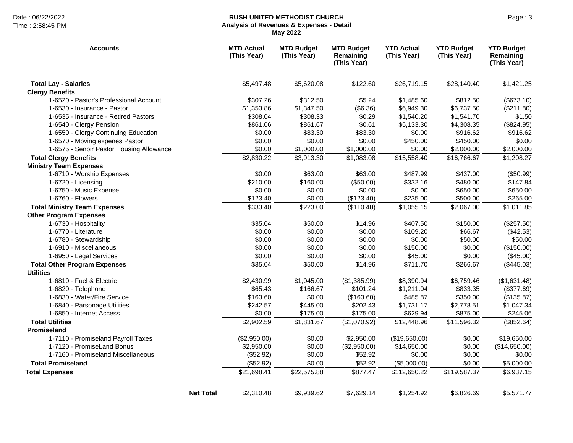# Date : 06/22/2022 Page : 3 **RUSH UNITED METHODIST CHURCH Analysis of Revenues & Expenses - Detail May 2022**

| <b>Accounts</b>                          | <b>MTD Actual</b><br>(This Year) | <b>MTD Budget</b><br>(This Year) | <b>MTD Budget</b><br>Remaining<br>(This Year) | <b>YTD Actual</b><br>(This Year) | <b>YTD Budget</b><br>(This Year) | <b>YTD Budget</b><br>Remaining<br>(This Year) |
|------------------------------------------|----------------------------------|----------------------------------|-----------------------------------------------|----------------------------------|----------------------------------|-----------------------------------------------|
| <b>Total Lay - Salaries</b>              | \$5,497.48                       | \$5,620.08                       | \$122.60                                      | \$26,719.15                      | \$28,140.40                      | \$1,421.25                                    |
| <b>Clergy Benefits</b>                   |                                  |                                  |                                               |                                  |                                  |                                               |
| 1-6520 - Pastor's Professional Account   | \$307.26                         | \$312.50                         | \$5.24                                        | \$1,485.60                       | \$812.50                         | (\$673.10)                                    |
| 1-6530 - Insurance - Pastor              | \$1,353.86                       | \$1,347.50                       | (\$6.36)                                      | \$6,949.30                       | \$6,737.50                       | (\$211.80)                                    |
| 1-6535 - Insurance - Retired Pastors     | \$308.04                         | \$308.33                         | \$0.29                                        | \$1,540.20                       | \$1,541.70                       | \$1.50                                        |
| 1-6540 - Clergy Pension                  | \$861.06                         | \$861.67                         | \$0.61                                        | \$5,133.30                       | \$4,308.35                       | (\$824.95)                                    |
| 1-6550 - Clergy Continuing Education     | \$0.00                           | \$83.30                          | \$83.30                                       | \$0.00                           | \$916.62                         | \$916.62                                      |
| 1-6570 - Moving expenes Pastor           | \$0.00                           | \$0.00                           | \$0.00                                        | \$450.00                         | \$450.00                         | \$0.00                                        |
| 1-6575 - Senoir Pastor Housing Allowance | \$0.00                           | \$1,000.00                       | \$1,000.00                                    | \$0.00                           | \$2,000.00                       | \$2,000.00                                    |
| <b>Total Clergy Benefits</b>             | \$2,830.22                       | \$3,913.30                       | \$1,083.08                                    | \$15,558.40                      | \$16,766.67                      | \$1,208.27                                    |
| <b>Ministry Team Expenses</b>            |                                  |                                  |                                               |                                  |                                  |                                               |
| 1-6710 - Worship Expenses                | \$0.00                           | \$63.00                          | \$63.00                                       | \$487.99                         | \$437.00                         | (\$50.99)                                     |
| 1-6720 - Licensing                       | \$210.00                         | \$160.00                         | (\$50.00)                                     | \$332.16                         | \$480.00                         | \$147.84                                      |
| 1-6750 - Music Expense                   | \$0.00                           | \$0.00                           | \$0.00                                        | \$0.00                           | \$650.00                         | \$650.00                                      |
| 1-6760 - Flowers                         | \$123.40                         | \$0.00                           | (\$123.40)                                    | \$235.00                         | \$500.00                         | \$265.00                                      |
| <b>Total Ministry Team Expenses</b>      | \$333.40                         | \$223.00                         | (\$110.40)                                    | \$1,055.15                       | \$2,067.00                       | \$1,011.85                                    |
| <b>Other Program Expenses</b>            |                                  |                                  |                                               |                                  |                                  |                                               |
| 1-6730 - Hospitality                     | \$35.04                          | \$50.00                          | \$14.96                                       | \$407.50                         | \$150.00                         | (\$257.50)                                    |
| 1-6770 - Literature                      | \$0.00                           | \$0.00                           | \$0.00                                        | \$109.20                         | \$66.67                          | (\$42.53)                                     |
| 1-6780 - Stewardship                     | \$0.00                           | \$0.00                           | \$0.00                                        | \$0.00                           | \$50.00                          | \$50.00                                       |
| 1-6910 - Miscellaneous                   | \$0.00                           | \$0.00                           | \$0.00                                        | \$150.00                         | \$0.00                           | (\$150.00)                                    |
| 1-6950 - Legal Services                  | \$0.00                           | \$0.00                           | \$0.00                                        | \$45.00                          | \$0.00                           | (\$45.00)                                     |
| <b>Total Other Program Expenses</b>      | \$35.04                          | \$50.00                          | \$14.96                                       | \$711.70                         | \$266.67                         | (\$445.03)                                    |
| <b>Utilities</b>                         |                                  |                                  |                                               |                                  |                                  |                                               |
| 1-6810 - Fuel & Electric                 | \$2,430.99                       | \$1,045.00                       | (\$1,385.99)                                  | \$8,390.94                       | \$6,759.46                       | (\$1,631.48)                                  |
| 1-6820 - Telephone                       | \$65.43                          | \$166.67                         | \$101.24                                      | \$1,211.04                       | \$833.35                         | (\$377.69)                                    |
| 1-6830 - Water/Fire Service              | \$163.60                         | \$0.00                           | (\$163.60)                                    | \$485.87                         | \$350.00                         | (\$135.87)                                    |
| 1-6840 - Parsonage Utilities             | \$242.57                         | \$445.00                         | \$202.43                                      | \$1,731.17                       | \$2,778.51                       | \$1,047.34                                    |
| 1-6850 - Internet Access                 | \$0.00                           | \$175.00                         | \$175.00                                      | \$629.94                         | \$875.00                         | \$245.06                                      |
| <b>Total Utilities</b>                   | \$2,902.59                       | \$1,831.67                       | (\$1,070.92)                                  | \$12,448.96                      | \$11,596.32                      | (\$852.64)                                    |
| <b>Promiseland</b>                       |                                  |                                  |                                               |                                  |                                  |                                               |
| 1-7110 - Promiseland Payroll Taxes       | (\$2,950.00)                     | \$0.00                           | \$2,950.00                                    | (\$19,650.00)                    | \$0.00                           | \$19,650.00                                   |
| 1-7120 - PromiseLand Bonus               | \$2,950.00                       | \$0.00                           | (\$2,950.00)                                  | \$14,650.00                      | \$0.00                           | (\$14,650.00)                                 |
| 1-7160 - Promiseland Miscellaneous       | (\$52.92)                        | \$0.00                           | \$52.92                                       | \$0.00                           | \$0.00                           | \$0.00                                        |
| <b>Total Promiseland</b>                 | (\$52.92)                        | \$0.00                           | \$52.92                                       | (\$5,000.00)                     | \$0.00                           | \$5,000.00                                    |
| <b>Total Expenses</b>                    | \$21,698.41                      | \$22,575.88                      | \$877.47                                      | \$112,650.22                     | \$119,587.37                     | \$6,937.15                                    |
|                                          |                                  |                                  |                                               |                                  |                                  |                                               |
| <b>Net Total</b>                         | \$2,310.48                       | \$9,939.62                       | \$7,629.14                                    | \$1,254.92                       | \$6,826.69                       | \$5,571.77                                    |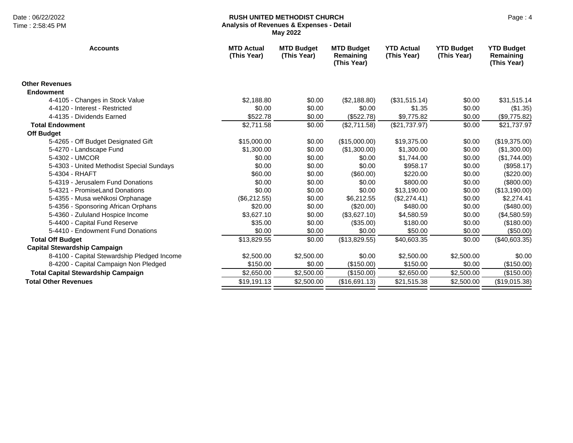# Date : 06/22/2022 Page : 4 **RUSH UNITED METHODIST CHURCH Analysis of Revenues & Expenses - Detail May 2022**

| <b>Accounts</b>                             | <b>MTD Actual</b><br>(This Year) | <b>MTD Budget</b><br>(This Year) | <b>MTD Budget</b><br>Remaining<br>(This Year) | <b>YTD Actual</b><br>(This Year) | <b>YTD Budget</b><br>(This Year) | <b>YTD Budget</b><br>Remaining<br>(This Year) |
|---------------------------------------------|----------------------------------|----------------------------------|-----------------------------------------------|----------------------------------|----------------------------------|-----------------------------------------------|
| <b>Other Revenues</b>                       |                                  |                                  |                                               |                                  |                                  |                                               |
| <b>Endowment</b>                            |                                  |                                  |                                               |                                  |                                  |                                               |
| 4-4105 - Changes in Stock Value             | \$2,188.80                       | \$0.00                           | (\$2,188.80)                                  | (\$31,515.14)                    | \$0.00                           | \$31,515.14                                   |
| 4-4120 - Interest - Restricted              | \$0.00                           | \$0.00                           | \$0.00                                        | \$1.35                           | \$0.00                           | (\$1.35)                                      |
| 4-4135 - Dividends Earned                   | \$522.78                         | \$0.00                           | (\$522.78)                                    | \$9,775.82                       | \$0.00                           | (\$9,775.82)                                  |
| <b>Total Endowment</b>                      | \$2,711.58                       | \$0.00                           | (\$2,711.58)                                  | (\$21,737.97)                    | \$0.00                           | \$21,737.97                                   |
| <b>Off Budget</b>                           |                                  |                                  |                                               |                                  |                                  |                                               |
| 5-4265 - Off Budget Designated Gift         | \$15,000.00                      | \$0.00                           | (\$15,000.00)                                 | \$19,375.00                      | \$0.00                           | (\$19,375.00)                                 |
| 5-4270 - Landscape Fund                     | \$1,300.00                       | \$0.00                           | (\$1,300.00)                                  | \$1,300.00                       | \$0.00                           | (\$1,300.00)                                  |
| 5-4302 - UMCOR                              | \$0.00                           | \$0.00                           | \$0.00                                        | \$1,744.00                       | \$0.00                           | (\$1,744.00)                                  |
| 5-4303 - United Methodist Special Sundays   | \$0.00                           | \$0.00                           | \$0.00                                        | \$958.17                         | \$0.00                           | (\$958.17)                                    |
| 5-4304 - RHAFT                              | \$60.00                          | \$0.00                           | (\$60.00)                                     | \$220.00                         | \$0.00                           | (\$220.00)                                    |
| 5-4319 - Jerusalem Fund Donations           | \$0.00                           | \$0.00                           | \$0.00                                        | \$800.00                         | \$0.00                           | $(\$800.00)$                                  |
| 5-4321 - PromiseLand Donations              | \$0.00                           | \$0.00                           | \$0.00                                        | \$13,190.00                      | \$0.00                           | (\$13,190.00)                                 |
| 5-4355 - Musa weNkosi Orphanage             | (\$6,212.55)                     | \$0.00                           | \$6,212.55                                    | (\$2,274.41)                     | \$0.00                           | \$2,274.41                                    |
| 5-4356 - Sponsoring African Orphans         | \$20.00                          | \$0.00                           | (\$20.00)                                     | \$480.00                         | \$0.00                           | $(\$480.00)$                                  |
| 5-4360 - Zululand Hospice Income            | \$3,627.10                       | \$0.00                           | (\$3,627.10)                                  | \$4,580.59                       | \$0.00                           | (\$4,580.59)                                  |
| 5-4400 - Capital Fund Reserve               | \$35.00                          | \$0.00                           | (\$35.00)                                     | \$180.00                         | \$0.00                           | (\$180.00)                                    |
| 5-4410 - Endowment Fund Donations           | \$0.00                           | \$0.00                           | \$0.00                                        | \$50.00                          | \$0.00                           | (\$50.00)                                     |
| <b>Total Off Budget</b>                     | \$13,829.55                      | \$0.00                           | (\$13,829.55)                                 | \$40,603.35                      | \$0.00                           | (\$40,603.35)                                 |
| <b>Capital Stewardship Campaign</b>         |                                  |                                  |                                               |                                  |                                  |                                               |
| 8-4100 - Capital Stewardship Pledged Income | \$2,500.00                       | \$2,500.00                       | \$0.00                                        | \$2,500.00                       | \$2,500.00                       | \$0.00                                        |
| 8-4200 - Capital Campaign Non Pledged       | \$150.00                         | \$0.00                           | (\$150.00)                                    | \$150.00                         | \$0.00                           | (\$150.00)                                    |
| <b>Total Capital Stewardship Campaign</b>   | \$2,650.00                       | \$2,500.00                       | (\$150.00)                                    | \$2,650.00                       | \$2,500.00                       | (\$150.00)                                    |
| <b>Total Other Revenues</b>                 | \$19,191.13                      | \$2,500.00                       | (\$16,691.13)                                 | \$21,515.38                      | \$2,500.00                       | (\$19,015.38)                                 |
|                                             |                                  |                                  |                                               |                                  |                                  |                                               |